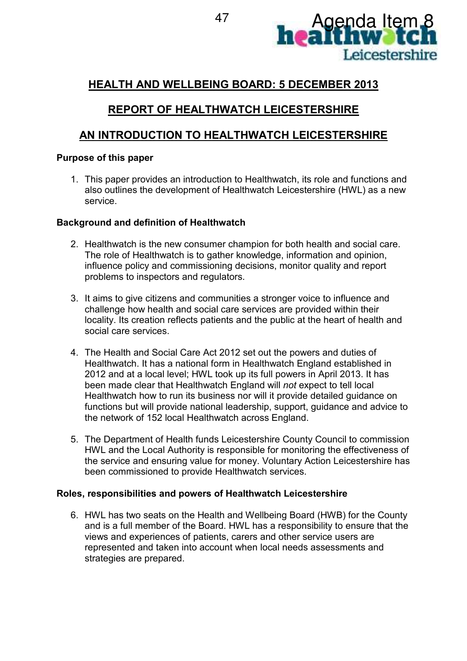

## **HEALTH AND WELLBEING BOARD: 5 DECEMBER 2013**

# **REPORT OF HEALTHWATCH LEICESTERSHIRE**

## **AN INTRODUCTION TO HEALTHWATCH LEICESTERSHIRE**

### **Purpose of this paper**

1. This paper provides an introduction to Healthwatch, its role and functions and also outlines the development of Healthwatch Leicestershire (HWL) as a new service.

### **Background and definition of Healthwatch**

- 2. Healthwatch is the new consumer champion for both health and social care. The role of Healthwatch is to gather knowledge, information and opinion, influence policy and commissioning decisions, monitor quality and report problems to inspectors and regulators.
- 3. It aims to give citizens and communities a stronger voice to influence and challenge how health and social care services are provided within their locality. Its creation reflects patients and the public at the heart of health and social care services.
- 4. The Health and Social Care Act 2012 set out the powers and duties of Healthwatch. It has a national form in Healthwatch England established in 2012 and at a local level; HWL took up its full powers in April 2013. It has been made clear that Healthwatch England will *not* expect to tell local Healthwatch how to run its business nor will it provide detailed guidance on functions but will provide national leadership, support, guidance and advice to the network of 152 local Healthwatch across England.
- 5. The Department of Health funds Leicestershire County Council to commission HWL and the Local Authority is responsible for monitoring the effectiveness of the service and ensuring value for money. Voluntary Action Leicestershire has been commissioned to provide Healthwatch services.

#### **Roles, responsibilities and powers of Healthwatch Leicestershire**

6. HWL has two seats on the Health and Wellbeing Board (HWB) for the County and is a full member of the Board. HWL has a responsibility to ensure that the views and experiences of patients, carers and other service users are represented and taken into account when local needs assessments and strategies are prepared.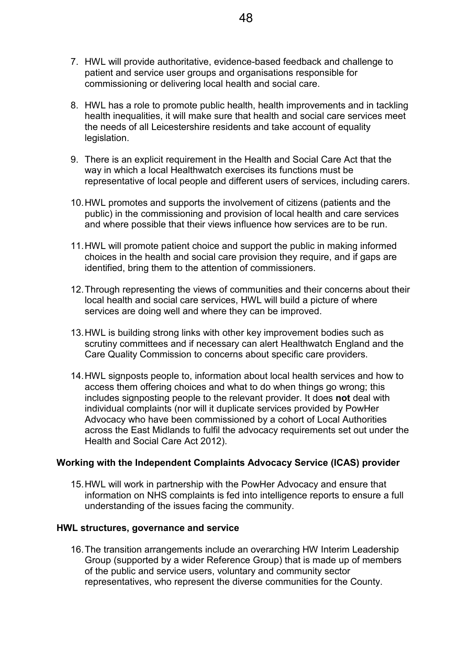- 7. HWL will provide authoritative, evidence-based feedback and challenge to patient and service user groups and organisations responsible for commissioning or delivering local health and social care.
- 8. HWL has a role to promote public health, health improvements and in tackling health inequalities, it will make sure that health and social care services meet the needs of all Leicestershire residents and take account of equality legislation.
- 9. There is an explicit requirement in the Health and Social Care Act that the way in which a local Healthwatch exercises its functions must be representative of local people and different users of services, including carers.
- 10. HWL promotes and supports the involvement of citizens (patients and the public) in the commissioning and provision of local health and care services and where possible that their views influence how services are to be run.
- 11. HWL will promote patient choice and support the public in making informed choices in the health and social care provision they require, and if gaps are identified, bring them to the attention of commissioners.
- 12. Through representing the views of communities and their concerns about their local health and social care services, HWL will build a picture of where services are doing well and where they can be improved.
- 13. HWL is building strong links with other key improvement bodies such as scrutiny committees and if necessary can alert Healthwatch England and the Care Quality Commission to concerns about specific care providers.
- 14. HWL signposts people to, information about local health services and how to access them offering choices and what to do when things go wrong; this includes signposting people to the relevant provider. It does **not** deal with individual complaints (nor will it duplicate services provided by PowHer Advocacy who have been commissioned by a cohort of Local Authorities across the East Midlands to fulfil the advocacy requirements set out under the Health and Social Care Act 2012).

#### **Working with the Independent Complaints Advocacy Service (ICAS) provider**

15. HWL will work in partnership with the PowHer Advocacy and ensure that information on NHS complaints is fed into intelligence reports to ensure a full understanding of the issues facing the community.

#### **HWL structures, governance and service**

16. The transition arrangements include an overarching HW Interim Leadership Group (supported by a wider Reference Group) that is made up of members of the public and service users, voluntary and community sector representatives, who represent the diverse communities for the County.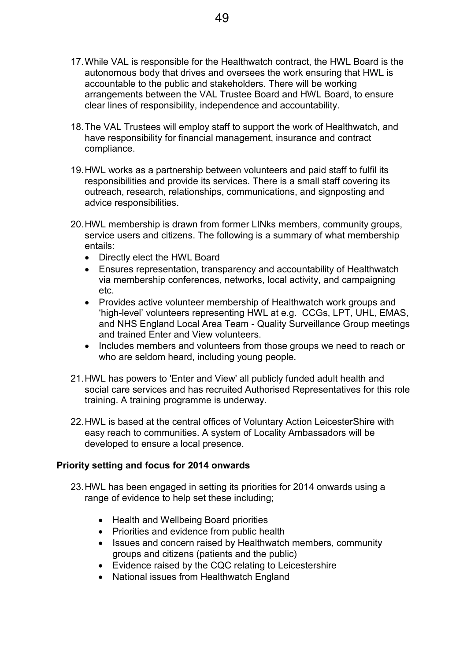- 17. While VAL is responsible for the Healthwatch contract, the HWL Board is the autonomous body that drives and oversees the work ensuring that HWL is accountable to the public and stakeholders. There will be working arrangements between the VAL Trustee Board and HWL Board, to ensure clear lines of responsibility, independence and accountability.
- 18. The VAL Trustees will employ staff to support the work of Healthwatch, and have responsibility for financial management, insurance and contract compliance.
- 19. HWL works as a partnership between volunteers and paid staff to fulfil its responsibilities and provide its services. There is a small staff covering its outreach, research, relationships, communications, and signposting and advice responsibilities.
- 20. HWL membership is drawn from former LINks members, community groups, service users and citizens. The following is a summary of what membership entails:
	- Directly elect the HWL Board
	- Ensures representation, transparency and accountability of Healthwatch via membership conferences, networks, local activity, and campaigning etc.
	- Provides active volunteer membership of Healthwatch work groups and 'high-level' volunteers representing HWL at e.g. CCGs, LPT, UHL, EMAS, and NHS England Local Area Team - Quality Surveillance Group meetings and trained Enter and View volunteers.
	- Includes members and volunteers from those groups we need to reach or who are seldom heard, including young people.
- 21. HWL has powers to 'Enter and View' all publicly funded adult health and social care services and has recruited Authorised Representatives for this role training. A training programme is underway.
- 22. HWL is based at the central offices of Voluntary Action LeicesterShire with easy reach to communities. A system of Locality Ambassadors will be developed to ensure a local presence.

#### **Priority setting and focus for 2014 onwards**

- 23. HWL has been engaged in setting its priorities for 2014 onwards using a range of evidence to help set these including;
	- Health and Wellbeing Board priorities
	- Priorities and evidence from public health
	- Issues and concern raised by Healthwatch members, community groups and citizens (patients and the public)
	- Evidence raised by the CQC relating to Leicestershire
	- National issues from Healthwatch England